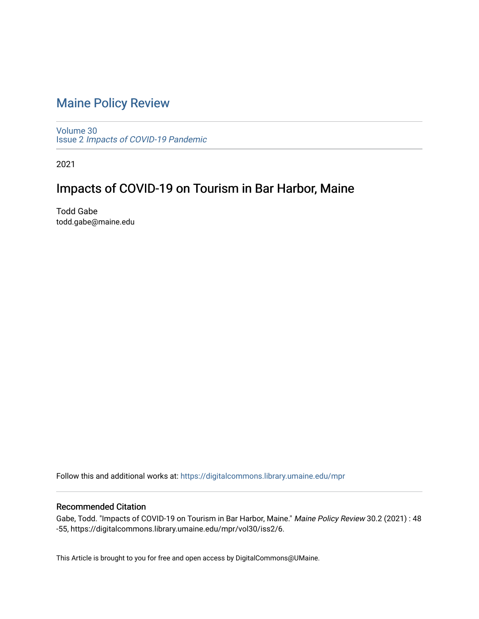## [Maine Policy Review](https://digitalcommons.library.umaine.edu/mpr)

[Volume 30](https://digitalcommons.library.umaine.edu/mpr/vol30) Issue 2 [Impacts of COVID-19 Pandemic](https://digitalcommons.library.umaine.edu/mpr/vol30/iss2)

2021

## Impacts of COVID-19 on Tourism in Bar Harbor, Maine

Todd Gabe todd.gabe@maine.edu

Follow this and additional works at: [https://digitalcommons.library.umaine.edu/mpr](https://digitalcommons.library.umaine.edu/mpr?utm_source=digitalcommons.library.umaine.edu%2Fmpr%2Fvol30%2Fiss2%2F6&utm_medium=PDF&utm_campaign=PDFCoverPages)

#### Recommended Citation

Gabe, Todd. "Impacts of COVID-19 on Tourism in Bar Harbor, Maine." Maine Policy Review 30.2 (2021) : 48 -55, https://digitalcommons.library.umaine.edu/mpr/vol30/iss2/6.

This Article is brought to you for free and open access by DigitalCommons@UMaine.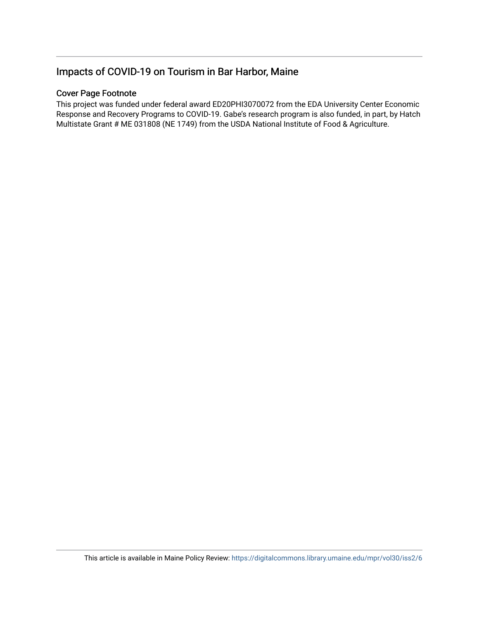### Impacts of COVID-19 on Tourism in Bar Harbor, Maine

#### Cover Page Footnote

This project was funded under federal award ED20PHI3070072 from the EDA University Center Economic Response and Recovery Programs to COVID-19. Gabe's research program is also funded, in part, by Hatch Multistate Grant # ME 031808 (NE 1749) from the USDA National Institute of Food & Agriculture.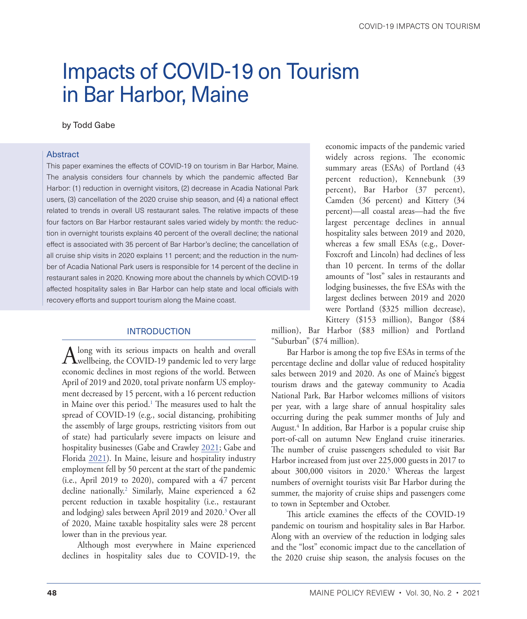# <span id="page-2-0"></span>Impacts of COVID-19 on Tourism in Bar Harbor, Maine

#### by Todd Gabe

#### Abstract

This paper examines the effects of COVID-19 on tourism in Bar Harbor, Maine. The analysis considers four channels by which the pandemic affected Bar Harbor: (1) reduction in overnight visitors, (2) decrease in Acadia National Park users, (3) cancellation of the 2020 cruise ship season, and (4) a national effect related to trends in overall US restaurant sales. The relative impacts of these four factors on Bar Harbor restaurant sales varied widely by month: the reduction in overnight tourists explains 40 percent of the overall decline; the national effect is associated with 35 percent of Bar Harbor's decline; the cancellation of all cruise ship visits in 2020 explains 11 percent; and the reduction in the number of Acadia National Park users is responsible for 14 percent of the decline in restaurant sales in 2020. Knowing more about the channels by which COVID-19 affected hospitality sales in Bar Harbor can help state and local officials with recovery efforts and support tourism along the Maine coast.

#### INTRODUCTION

Along with its serious impacts on health and overall wellbeing, the COVID-19 pandemic led to very large economic declines in most regions of the world. Between April of 2019 and 2020, total private nonfarm US employment decreased by 15 percent, with a 16 percent reduction in Maine over this period.<sup>1</sup> The measures used to halt the spread of COVID-19 (e.g., social distancing, prohibiting the assembly of large groups, restricting visitors from out of state) had particularly severe impacts on leisure and hospitality businesses (Gabe and Crawley [2021;](#page-9-0) Gabe and Florida [2021\)](#page-9-1). In Maine, leisure and hospitality industry employment fell by 50 percent at the start of the pandemic (i.e., April 2019 to 2020), compared with a 47 percent decline nationally.[2](#page-8-0) Similarly, Maine experienced a 62 percent reduction in taxable hospitality (i.e., restaurant and lodging) sales between April 2019 and 2020.[3](#page-8-0) Over all of 2020, Maine taxable hospitality sales were 28 percent lower than in the previous year.

Although most everywhere in Maine experienced declines in hospitality sales due to COVID-19, the

economic impacts of the pandemic varied widely across regions. The economic summary areas (ESAs) of Portland (43 percent reduction), Kennebunk (39 percent), Bar Harbor (37 percent), Camden (36 percent) and Kittery (34 percent)—all coastal areas—had the five largest percentage declines in annual hospitality sales between 2019 and 2020, whereas a few small ESAs (e.g., Dover-Foxcroft and Lincoln) had declines of less than 10 percent. In terms of the dollar amounts of "lost" sales in restaurants and lodging businesses, the five ESAs with the largest declines between 2019 and 2020 were Portland (\$325 million decrease), Kittery (\$153 million), Bangor (\$84

million), Bar Harbor (\$83 million) and Portland "Suburban" (\$74 million).

Bar Harbor is among the top five ESAs in terms of the percentage decline and dollar value of reduced hospitality sales between 2019 and 2020. As one of Maine's biggest tourism draws and the gateway community to Acadia National Park, Bar Harbor welcomes millions of visitors per year, with a large share of annual hospitality sales occurring during the peak summer months of July and August[.4](#page-8-0) In addition, Bar Harbor is a popular cruise ship port-of-call on autumn New England cruise itineraries. The number of cruise passengers scheduled to visit Bar Harbor increased from just over 225,000 guests in 2017 to about 300,000 visitors in 2020.<sup>5</sup> Whereas the largest numbers of overnight tourists visit Bar Harbor during the summer, the majority of cruise ships and passengers come to town in September and October.

This article examines the effects of the COVID-19 pandemic on tourism and hospitality sales in Bar Harbor. Along with an overview of the reduction in lodging sales and the "lost" economic impact due to the cancellation of the 2020 cruise ship season, the analysis focuses on the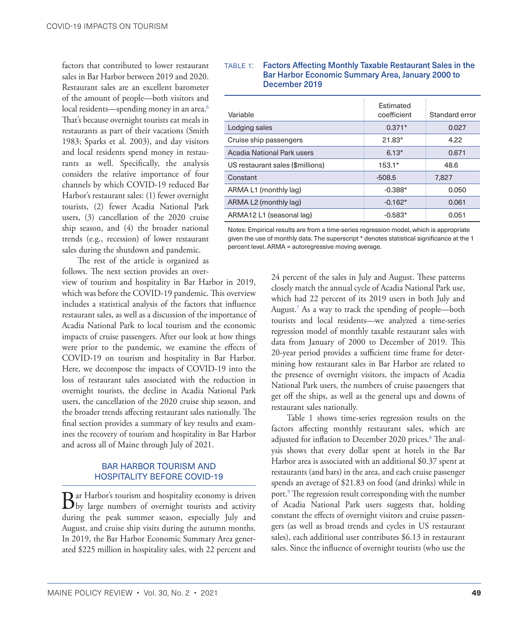<span id="page-3-0"></span>factors that contributed to lower restaurant sales in Bar Harbor between 2019 and 2020. Restaurant sales are an excellent barometer of the amount of people—both visitors and local residents—spending money in an area.<sup>[6](#page-8-0)</sup> That's because overnight tourists eat meals in restaurants as part of their vacations (Smith 1983; Sparks et al. 2003), and day visitors and local residents spend money in restaurants as well. Specifically, the analysis considers the relative importance of four channels by which COVID-19 reduced Bar Harbor's restaurant sales: (1) fewer overnight tourists, (2) fewer Acadia National Park users, (3) cancellation of the 2020 cruise ship season, and (4) the broader national trends (e.g., recession) of lower restaurant sales during the shutdown and pandemic.

The rest of the article is organized as follows. The next section provides an over-

view of tourism and hospitality in Bar Harbor in 2019, which was before the COVID-19 pandemic. This overview includes a statistical analysis of the factors that influence restaurant sales, as well as a discussion of the importance of Acadia National Park to local tourism and the economic impacts of cruise passengers. After our look at how things were prior to the pandemic, we examine the effects of COVID-19 on tourism and hospitality in Bar Harbor. Here, we decompose the impacts of COVID-19 into the loss of restaurant sales associated with the reduction in overnight tourists, the decline in Acadia National Park users, the cancellation of the 2020 cruise ship season, and the broader trends affecting restaurant sales nationally. The final section provides a summary of key results and examines the recovery of tourism and hospitality in Bar Harbor and across all of Maine through July of 2021.

#### BAR HARBOR TOURISM AND HOSPITALITY BEFORE COVID-19

 $\mathbf{B}$ ar Harbor's tourism and hospitality economy is driven by large numbers of overnight tourists and activity during the peak summer season, especially July and August, and cruise ship visits during the autumn months. In 2019, the Bar Harbor Economic Summary Area generated \$225 million in hospitality sales, with 22 percent and

#### table 1: Factors Affecting Monthly Taxable Restaurant Sales in the Bar Harbor Economic Summary Area, January 2000 to December 2019

|                                  | <b>Fstimated</b> |                |
|----------------------------------|------------------|----------------|
| Variable                         | coefficient      | Standard error |
| Lodging sales                    | $0.371*$         | 0.027          |
| Cruise ship passengers           | $21.83*$         | 4.22           |
| Acadia National Park users       | $6.13*$          | 0.671          |
| US restaurant sales (\$millions) | $153.1*$         | 48.6           |
| Constant                         | $-508.5$         | 7,827          |
| ARMA L1 (monthly lag)            | $-0.388*$        | 0.050          |
| ARMA L2 (monthly lag)            | $-0.162*$        | 0.061          |
| ARMA12 L1 (seasonal lag)         | $-0.583*$        | 0.051          |

Notes: Empirical results are from a time-series regression model, which is appropriate given the use of monthly data. The superscript \* denotes statistical significance at the 1 percent level. ARMA = autoregressive moving average.

> 24 percent of the sales in July and August. These patterns closely match the annual cycle of Acadia National Park use, which had 22 percent of its 2019 users in both July and August[.7](#page-8-0) As a way to track the spending of people—both tourists and local residents—we analyzed a time-series regression model of monthly taxable restaurant sales with data from January of 2000 to December of 2019. This 20-year period provides a sufficient time frame for determining how restaurant sales in Bar Harbor are related to the presence of overnight visitors, the impacts of Acadia National Park users, the numbers of cruise passengers that get off the ships, as well as the general ups and downs of restaurant sales nationally.

> Table 1 shows time-series regression results on the factors affecting monthly restaurant sales, which are adjusted for inflation to December 2020 prices[.8](#page-8-0) The analysis shows that every dollar spent at hotels in the Bar Harbor area is associated with an additional \$0.37 spent at restaurants (and bars) in the area, and each cruise passenger spends an average of \$21.83 on food (and drinks) while in port.[9](#page-8-0) The regression result corresponding with the number of Acadia National Park users suggests that, holding constant the effects of overnight visitors and cruise passengers (as well as broad trends and cycles in US restaurant sales), each additional user contributes \$6.13 in restaurant sales. Since the influence of overnight tourists (who use the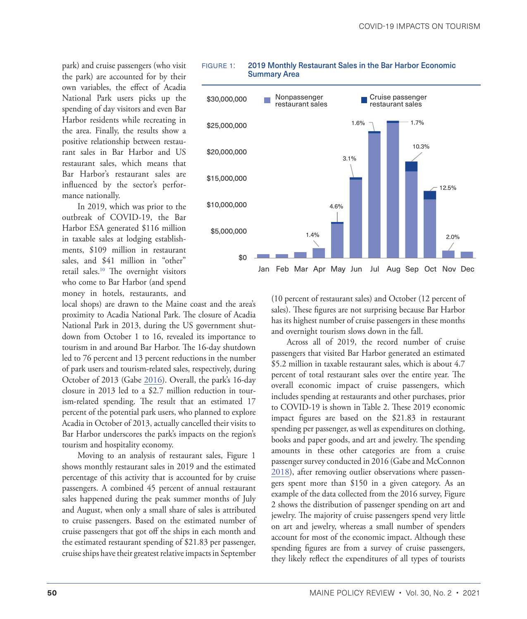<span id="page-4-0"></span>park) and cruise passengers (who visit the park) are accounted for by their own variables, the effect of Acadia National Park users picks up the spending of day visitors and even Bar Harbor residents while recreating in the area. Finally, the results show a positive relationship between restaurant sales in Bar Harbor and US restaurant sales, which means that Bar Harbor's restaurant sales are influenced by the sector's performance nationally.

In 2019, which was prior to the outbreak of COVID-19, the Bar Harbor ESA generated \$116 million in taxable sales at lodging establishments, \$109 million in restaurant sales, and \$41 million in "other" retail sales.<sup>10</sup> The overnight visitors who come to Bar Harbor (and spend money in hotels, restaurants, and

local shops) are drawn to the Maine coast and the area's proximity to Acadia National Park. The closure of Acadia National Park in 2013, during the US government shutdown from October 1 to 16, revealed its importance to tourism in and around Bar Harbor. The 16-day shutdown led to 76 percent and 13 percent reductions in the number of park users and tourism-related sales, respectively, during October of 2013 (Gabe [2016](#page-9-2)). Overall, the park's 16-day closure in 2013 led to a \$2.7 million reduction in tourism-related spending. The result that an estimated 17 percent of the potential park users, who planned to explore Acadia in October of 2013, actually cancelled their visits to Bar Harbor underscores the park's impacts on the region's tourism and hospitality economy.

Moving to an analysis of restaurant sales, Figure 1 shows monthly restaurant sales in 2019 and the estimated percentage of this activity that is accounted for by cruise passengers. A combined 45 percent of annual restaurant sales happened during the peak summer months of July and August, when only a small share of sales is attributed to cruise passengers. Based on the estimated number of cruise passengers that got off the ships in each month and the estimated restaurant spending of \$21.83 per passenger, cruise ships have their greatest relative impacts in September



#### figure 1: 2019 Monthly Restaurant Sales in the Bar Harbor Economic Summary Area

(10 percent of restaurant sales) and October (12 percent of sales). These figures are not surprising because Bar Harbor has its highest number of cruise passengers in these months and overnight tourism slows down in the fall.

Across all of 2019, the record number of cruise passengers that visited Bar Harbor generated an estimated \$5.2 million in taxable restaurant sales, which is about 4.7 percent of total restaurant sales over the entire year. The overall economic impact of cruise passengers, which includes spending at restaurants and other purchases, prior to COVID-19 is shown in Table 2. These 2019 economic impact figures are based on the \$21.83 in restaurant spending per passenger, as well as expenditures on clothing, books and paper goods, and art and jewelry. The spending amounts in these other categories are from a cruise passenger survey conducted in 2016 (Gabe and McConnon [2018](#page-9-3)), after removing outlier observations where passengers spent more than \$150 in a given category. As an example of the data collected from the 2016 survey, Figure 2 shows the distribution of passenger spending on art and jewelry. The majority of cruise passengers spend very little on art and jewelry, whereas a small number of spenders account for most of the economic impact. Although these spending figures are from a survey of cruise passengers, they likely reflect the expenditures of all types of tourists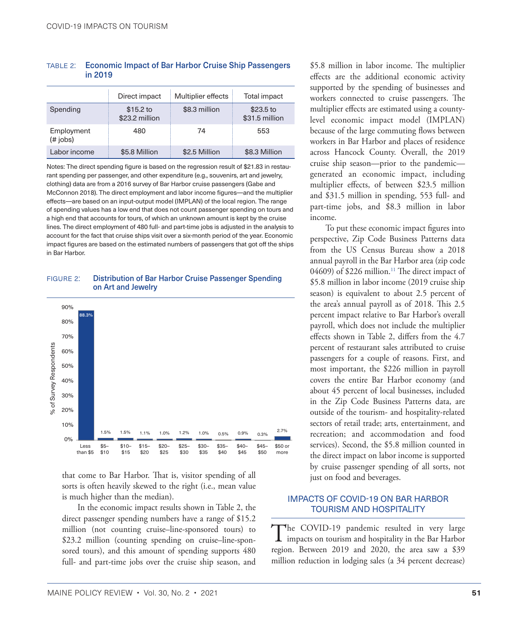#### <span id="page-5-0"></span>table 2: Economic Impact of Bar Harbor Cruise Ship Passengers in 2019

|                        | Direct impact               | Multiplier effects | Total impact                 |
|------------------------|-----------------------------|--------------------|------------------------------|
| Spending               | \$15.2 to<br>\$23.2 million | \$8.3 million      | $$23.5$ to<br>\$31.5 million |
| Employment<br>(# jobs) | 480                         | 74                 | 553                          |
| Labor income           | \$5.8 Million               | \$2.5 Million      | \$8.3 Million                |

Notes: The direct spending figure is based on the regression result of \$21.83 in restaurant spending per passenger, and other expenditure (e.g., souvenirs, art and jewelry, clothing) data are from a 2016 survey of Bar Harbor cruise passengers (Gabe and McConnon 2018). The direct employment and labor income figures—and the multiplier effects—are based on an input-output model (IMPLAN) of the local region. The range of spending values has a low end that does not count passenger spending on tours and a high end that accounts for tours, of which an unknown amount is kept by the cruise lines. The direct employment of 480 full- and part-time jobs is adjusted in the analysis to account for the fact that cruise ships visit over a six-month period of the year. Economic impact figures are based on the estimated numbers of passengers that got off the ships in Bar Harbor.

#### figure 2: Distribution of Bar Harbor Cruise Passenger Spending on Art and Jewelry



that come to Bar Harbor. That is, visitor spending of all sorts is often heavily skewed to the right (i.e., mean value is much higher than the median).

In the economic impact results shown in Table 2, the direct passenger spending numbers have a range of \$15.2 million (not counting cruise–line-sponsored tours) to \$23.2 million (counting spending on cruise–line-sponsored tours), and this amount of spending supports 480 full- and part-time jobs over the cruise ship season, and

\$5.8 million in labor income. The multiplier effects are the additional economic activity supported by the spending of businesses and workers connected to cruise passengers. The multiplier effects are estimated using a countylevel economic impact model (IMPLAN) because of the large commuting flows between workers in Bar Harbor and places of residence across Hancock County. Overall, the 2019 cruise ship season—prior to the pandemic generated an economic impact, including multiplier effects, of between \$23.5 million and \$31.5 million in spending, 553 full- and part-time jobs, and \$8.3 million in labor income.

To put these economic impact figures into perspective, Zip Code Business Patterns data from the US Census Bureau show a 2018 annual payroll in the Bar Harbor area (zip code 04609) of \$226 million.<sup>[11](#page-8-0)</sup> The direct impact of \$5.8 million in labor income (2019 cruise ship season) is equivalent to about 2.5 percent of the area's annual payroll as of 2018. This 2.5 percent impact relative to Bar Harbor's overall payroll, which does not include the multiplier effects shown in Table 2, differs from the 4.7 percent of restaurant sales attributed to cruise passengers for a couple of reasons. First, and most important, the \$226 million in payroll covers the entire Bar Harbor economy (and about 45 percent of local businesses, included in the Zip Code Business Patterns data, are outside of the tourism- and hospitality-related sectors of retail trade; arts, entertainment, and recreation; and accommodation and food services). Second, the \$5.8 million counted in the direct impact on labor income is supported by cruise passenger spending of all sorts, not just on food and beverages.

#### IMPACTS OF COVID-19 ON BAR HARBOR TOURISM AND HOSPITALITY

The COVID-19 pandemic resulted in very large<br>impacts on tourism and hospitality in the Bar Harbor region. Between 2019 and 2020, the area saw a \$39 million reduction in lodging sales (a 34 percent decrease)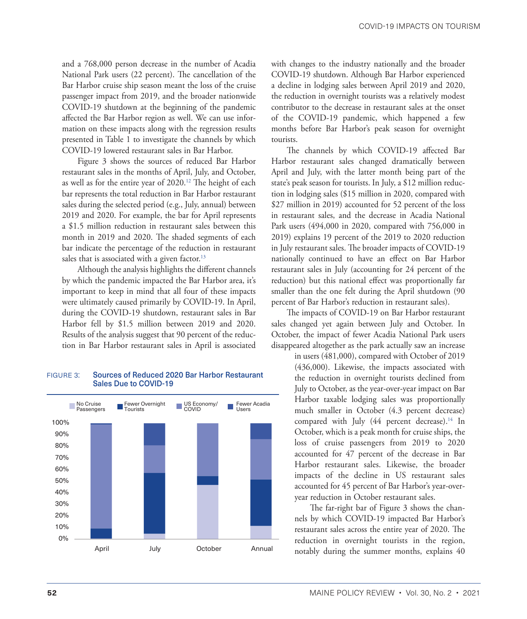<span id="page-6-0"></span>and a 768,000 person decrease in the number of Acadia National Park users (22 percent). The cancellation of the Bar Harbor cruise ship season meant the loss of the cruise passenger impact from 2019, and the broader nationwide COVID-19 shutdown at the beginning of the pandemic affected the Bar Harbor region as well. We can use information on these impacts along with the regression results presented in Table 1 to investigate the channels by which COVID-19 lowered restaurant sales in Bar Harbor.

Figure 3 shows the sources of reduced Bar Harbor restaurant sales in the months of April, July, and October, as well as for the entire year of 2020.[12](#page-8-0) The height of each bar represents the total reduction in Bar Harbor restaurant sales during the selected period (e.g., July, annual) between 2019 and 2020. For example, the bar for April represents a \$1.5 million reduction in restaurant sales between this month in 2019 and 2020. The shaded segments of each bar indicate the percentage of the reduction in restaurant sales that is associated with a given factor.<sup>13</sup>

Although the analysis highlights the different channels by which the pandemic impacted the Bar Harbor area, it's important to keep in mind that all four of these impacts were ultimately caused primarily by COVID-19. In April, during the COVID-19 shutdown, restaurant sales in Bar Harbor fell by \$1.5 million between 2019 and 2020. Results of the analysis suggest that 90 percent of the reduction in Bar Harbor restaurant sales in April is associated

#### figure 3: Sources of Reduced 2020 Bar Harbor Restaurant Sales Due to COVID-19



with changes to the industry nationally and the broader COVID-19 shutdown. Although Bar Harbor experienced a decline in lodging sales between April 2019 and 2020, the reduction in overnight tourists was a relatively modest contributor to the decrease in restaurant sales at the onset of the COVID-19 pandemic, which happened a few months before Bar Harbor's peak season for overnight tourists.

The channels by which COVID-19 affected Bar Harbor restaurant sales changed dramatically between April and July, with the latter month being part of the state's peak season for tourists. In July, a \$12 million reduction in lodging sales (\$15 million in 2020, compared with \$27 million in 2019) accounted for 52 percent of the loss in restaurant sales, and the decrease in Acadia National Park users (494,000 in 2020, compared with 756,000 in 2019) explains 19 percent of the 2019 to 2020 reduction in July restaurant sales. The broader impacts of COVID-19 nationally continued to have an effect on Bar Harbor restaurant sales in July (accounting for 24 percent of the reduction) but this national effect was proportionally far smaller than the one felt during the April shutdown (90 percent of Bar Harbor's reduction in restaurant sales).

The impacts of COVID-19 on Bar Harbor restaurant sales changed yet again between July and October. In October, the impact of fewer Acadia National Park users disappeared altogether as the park actually saw an increase

in users (481,000), compared with October of 2019 (436,000). Likewise, the impacts associated with the reduction in overnight tourists declined from July to October, as the year-over-year impact on Bar Harbor taxable lodging sales was proportionally much smaller in October (4.3 percent decrease) compared with July  $(44$  percent decrease).<sup>14</sup> In October, which is a peak month for cruise ships, the loss of cruise passengers from 2019 to 2020 accounted for 47 percent of the decrease in Bar Harbor restaurant sales. Likewise, the broader impacts of the decline in US restaurant sales accounted for 45 percent of Bar Harbor's year-overyear reduction in October restaurant sales.

The far-right bar of Figure 3 shows the channels by which COVID-19 impacted Bar Harbor's restaurant sales across the entire year of 2020. The reduction in overnight tourists in the region, notably during the summer months, explains 40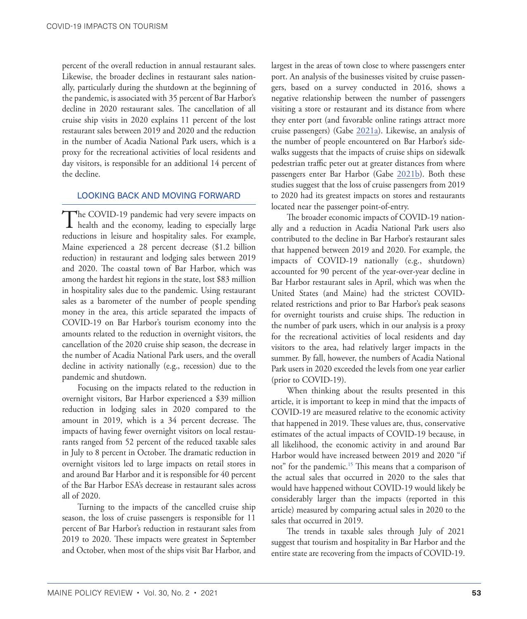<span id="page-7-0"></span>percent of the overall reduction in annual restaurant sales. Likewise, the broader declines in restaurant sales nationally, particularly during the shutdown at the beginning of the pandemic, is associated with 35 percent of Bar Harbor's decline in 2020 restaurant sales. The cancellation of all cruise ship visits in 2020 explains 11 percent of the lost restaurant sales between 2019 and 2020 and the reduction in the number of Acadia National Park users, which is a proxy for the recreational activities of local residents and day visitors, is responsible for an additional 14 percent of the decline.

#### LOOKING BACK AND MOVING FORWARD

The COVID-19 pandemic had very severe impacts on health and the economy, leading to especially large reductions in leisure and hospitality sales. For example, Maine experienced a 28 percent decrease (\$1.2 billion reduction) in restaurant and lodging sales between 2019 and 2020. The coastal town of Bar Harbor, which was among the hardest hit regions in the state, lost \$83 million in hospitality sales due to the pandemic. Using restaurant sales as a barometer of the number of people spending money in the area, this article separated the impacts of COVID-19 on Bar Harbor's tourism economy into the amounts related to the reduction in overnight visitors, the cancellation of the 2020 cruise ship season, the decrease in the number of Acadia National Park users, and the overall decline in activity nationally (e.g., recession) due to the pandemic and shutdown.

Focusing on the impacts related to the reduction in overnight visitors, Bar Harbor experienced a \$39 million reduction in lodging sales in 2020 compared to the amount in 2019, which is a 34 percent decrease. The impacts of having fewer overnight visitors on local restaurants ranged from 52 percent of the reduced taxable sales in July to 8 percent in October. The dramatic reduction in overnight visitors led to large impacts on retail stores in and around Bar Harbor and it is responsible for 40 percent of the Bar Harbor ESA's decrease in restaurant sales across all of 2020.

Turning to the impacts of the cancelled cruise ship season, the loss of cruise passengers is responsible for 11 percent of Bar Harbor's reduction in restaurant sales from 2019 to 2020. These impacts were greatest in September and October, when most of the ships visit Bar Harbor, and largest in the areas of town close to where passengers enter port. An analysis of the businesses visited by cruise passengers, based on a survey conducted in 2016, shows a negative relationship between the number of passengers visiting a store or restaurant and its distance from where they enter port (and favorable online ratings attract more cruise passengers) (Gabe [2021a\)](#page-9-4). Likewise, an analysis of the number of people encountered on Bar Harbor's sidewalks suggests that the impacts of cruise ships on sidewalk pedestrian traffic peter out at greater distances from where passengers enter Bar Harbor (Gabe [2021b](#page-9-5)). Both these studies suggest that the loss of cruise passengers from 2019 to 2020 had its greatest impacts on stores and restaurants located near the passenger point-of-entry.

The broader economic impacts of COVID-19 nationally and a reduction in Acadia National Park users also contributed to the decline in Bar Harbor's restaurant sales that happened between 2019 and 2020. For example, the impacts of COVID-19 nationally (e.g., shutdown) accounted for 90 percent of the year-over-year decline in Bar Harbor restaurant sales in April, which was when the United States (and Maine) had the strictest COVIDrelated restrictions and prior to Bar Harbor's peak seasons for overnight tourists and cruise ships. The reduction in the number of park users, which in our analysis is a proxy for the recreational activities of local residents and day visitors to the area, had relatively larger impacts in the summer. By fall, however, the numbers of Acadia National Park users in 2020 exceeded the levels from one year earlier (prior to COVID-19).

When thinking about the results presented in this article, it is important to keep in mind that the impacts of COVID-19 are measured relative to the economic activity that happened in 2019. These values are, thus, conservative estimates of the actual impacts of COVID-19 because, in all likelihood, the economic activity in and around Bar Harbor would have increased between 2019 and 2020 "if not" for the pandemic.<sup>15</sup> This means that a comparison of the actual sales that occurred in 2020 to the sales that would have happened without COVID-19 would likely be considerably larger than the impacts (reported in this article) measured by comparing actual sales in 2020 to the sales that occurred in 2019.

The trends in taxable sales through July of 2021 suggest that tourism and hospitality in Bar Harbor and the entire state are recovering from the impacts of COVID-19.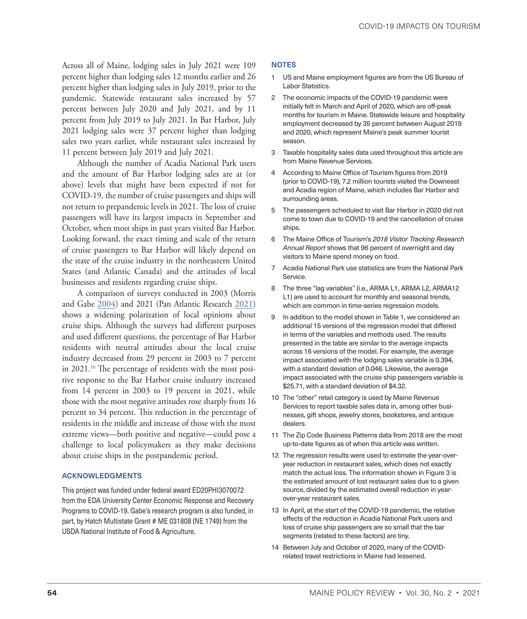<span id="page-8-0"></span>Across all of Maine, lodging sales in July 2021 were 109 percent higher than lodging sales 12 months earlier and 26 percent higher than lodging sales in July 2019, prior to the pandemic. Statewide restaurant sales increased by 57 percent between July 2020 and July 2021, and by 11 percent from July 2019 to July 2021. In Bar Harbor, July 2021 lodging sales were 37 percent higher than lodging sales two years earlier, while restaurant sales increased by 11 percent between July 2019 and July 2021.

Although the number of Acadia National Park users and the amount of Bar Harbor lodging sales are at (or above) levels that might have been expected if not for COVID-19, the number of cruise passengers and ships will not return to prepandemic levels in 2021. The loss of cruise passengers will have its largest impacts in September and October, when most ships in past years visited Bar Harbor. Looking forward, the exact timing and scale of the return of cruise passengers to Bar Harbor will likely depend on the state of the cruise industry in the northeastern United States (and Atlantic Canada) and the attitudes of local businesses and residents regarding cruise ships.

A comparison of surveys conducted in 2003 (Morris and Gabe [2004](#page-9-7)) and 2021 (Pan Atlantic Research [2021\)](#page-9-8) shows a widening polarization of local opinions about cruise ships. Although the surveys had different purposes and used different questions, the percentage of Bar Harbor residents with neutral attitudes about the local cruise industry decreased from 29 percent in 2003 to 7 percent in 2021.<sup>16</sup> The percentage of residents with the most positive response to the Bar Harbor cruise industry increased from 14 percent in 2003 to 19 percent in 2021, while those with the most negative attitudes rose sharply from 16 percent to 34 percent. This reduction in the percentage of residents in the middle and increase of those with the most extreme views—both positive and negative—could pose a challenge to local policymakers as they make decisions about cruise ships in the postpandemic period.

#### ACKNOWLEDGMENTS

This project was funded under federal award ED20PHI3070072 from the EDA University Center Economic Response and Recovery Programs to COVID-19. Gabe's research program is also funded, in part, by Hatch Multistate Grant # ME 031808 (NE 1749) from the USDA National Institute of Food & Agriculture.

#### **NOTES**

- [1](#page-2-0) US and Maine employment figures are from the US Bureau of Labor Statistics.
- [2](#page-2-0) The economic impacts of the COVID-19 pandemic were initially felt in March and April of 2020, which are off-peak months for tourism in Maine. Statewide leisure and hospitality employment decreased by 35 percent between August 2019 and 2020, which represent Maine's peak summer tourist season.
- [3](#page-2-0) Taxable hospitality sales data used throughout this article are from Maine Revenue Services.
- [4](#page-2-0) According to Maine Office of Tourism figures from 2019 (prior to COVID-19), 7.2 million tourists visited the Downeast and Acadia region of Maine, which includes Bar Harbor and surrounding areas.
- [5](#page-2-0) The passengers scheduled to visit Bar Harbor in 2020 did not come to town due to COVID-19 and the cancellation of cruise ships.
- [6](#page-3-0) The Maine Office of Tourism's *2018 Visitor Tracking Research Annual Report* shows that 96 percent of overnight and day visitors to Maine spend money on food.
- [7](#page-3-0) Acadia National Park use statistics are from the National Park Service.
- [8](#page-3-0) The three "lag variables" (i.e., ARMA L1, ARMA L2, ARMA12 L1) are used to account for monthly and seasonal trends, which are common in time-series regression models.
- [9](#page-3-0) In addition to the model shown in Table 1, we considered an additional 15 versions of the regression model that differed in terms of the variables and methods used. The results presented in the table are similar to the average impacts across 16 versions of the model. For example, the average impact associated with the lodging sales variable is 0.394, with a standard deviation of 0.046. Likewise, the average impact associated with the cruise ship passengers variable is \$25.71, with a standard deviation of \$4.32.
- [10](#page-4-0) The "other" retail category is used by Maine Revenue Services to report taxable sales data in, among other businesses, gift shops, jewelry stores, bookstores, and antique dealers.
- [11](#page-5-0) The Zip Code Business Patterns data from 2018 are the most up-to-date figures as of when this article was written.
- [12](#page-6-0) The regression results were used to estimate the year-overyear reduction in restaurant sales, which does not exactly match the actual loss. The information shown in Figure 3 is the estimated amount of lost restaurant sales due to a given source, divided by the estimated overall reduction in yearover-year restaurant sales.
- [13](#page-6-0) In April, at the start of the COVID-19 pandemic, the relative effects of the reduction in Acadia National Park users and loss of cruise ship passengers are so small that the bar segments (related to these factors) are tiny.
- [14](#page-6-0) Between July and October of 2020, many of the COVIDrelated travel restrictions in Maine had lessened.